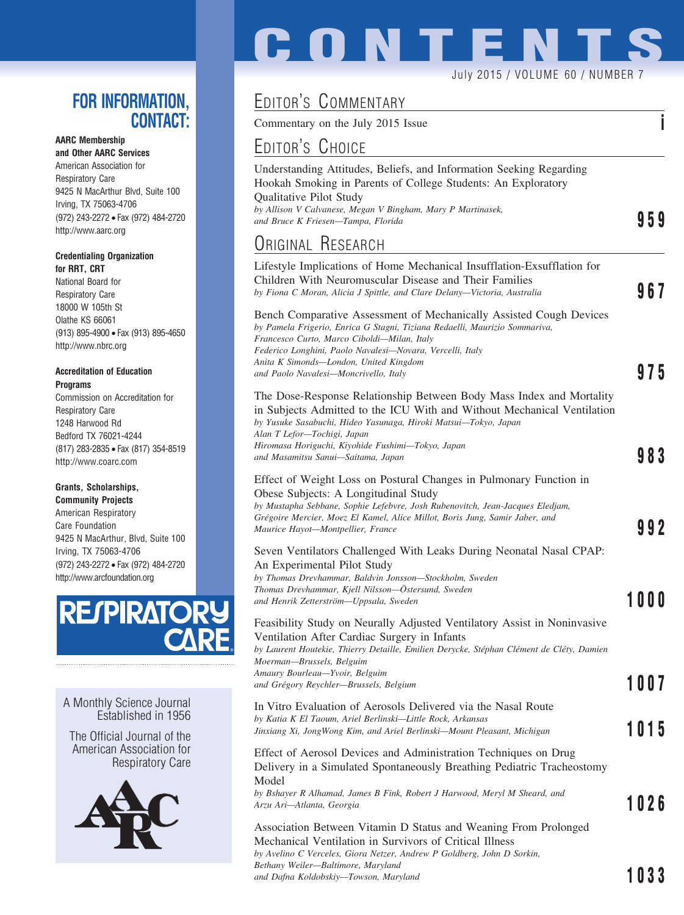### **FOR INFORMATION, CONTACT:**

### **AARC Membership and Other AARC Services**

American Association for Respiratory Care 9425 N MacArthur Blvd, Suite 100 Irving, TX 75063-4706 (972) 243-2272 • Fax (972) 484-2720 http://www.aarc.org

### **Credentialing Organization for RRT, CRT**

National Board for Respiratory Care 18000 W 105th St Olathe KS 66061 (913) 895-4900 • Fax (913) 895-4650 http://www.nbrc.org

### **Accreditation of Education Programs**

Commission on Accreditation for Respiratory Care 1248 Harwood Rd Bedford TX 76021-4244 (817) 283-2835 • Fax (817) 354-8519 http://www.coarc.com

### **Grants, Scholarships,**

**Community Projects** American Respiratory Care Foundation 9425 N MacArthur, Blvd, Suite 100 Irving, TX 75063-4706 (972) 243-2272 • Fax (972) 484-2720 http://www.arcfoundation.org



A Monthly Science Journal Established in 1956

The Official Journal of the American Association for Respiratory Care



# EDITOR'S COMMENTARY

Commentary on the July 2015 Issue **i**

**CONTENTS**

## EDITOR'S CHOICE

| LUITUR S UNUILE                                                                                                                                                                                                                                                                                                                                  |      |
|--------------------------------------------------------------------------------------------------------------------------------------------------------------------------------------------------------------------------------------------------------------------------------------------------------------------------------------------------|------|
| Understanding Attitudes, Beliefs, and Information Seeking Regarding<br>Hookah Smoking in Parents of College Students: An Exploratory<br>Qualitative Pilot Study<br>by Allison V Calvanese, Megan V Bingham, Mary P Martinasek,<br>and Bruce K Friesen-Tampa, Florida                                                                             | 959  |
| <b>URIGINAL RESEARCH</b>                                                                                                                                                                                                                                                                                                                         |      |
| Lifestyle Implications of Home Mechanical Insufflation-Exsufflation for<br>Children With Neuromuscular Disease and Their Families<br>by Fiona C Moran, Alicia J Spittle, and Clare Delany-Victoria, Australia                                                                                                                                    | 967  |
| Bench Comparative Assessment of Mechanically Assisted Cough Devices<br>by Pamela Frigerio, Enrica G Stagni, Tiziana Redaelli, Maurizio Sommariva,<br>Francesco Curto, Marco Ciboldi-Milan, Italy<br>Federico Longhini, Paolo Navalesi—Novara, Vercelli, Italy<br>Anita K Simonds—London, United Kingdom<br>and Paolo Navalesi-Moncrivello, Italy | 975  |
| The Dose-Response Relationship Between Body Mass Index and Mortality<br>in Subjects Admitted to the ICU With and Without Mechanical Ventilation<br>by Yusuke Sasabuchi, Hideo Yasunaga, Hiroki Matsui-Tokyo, Japan<br>Alan T Lefor—Tochigi, Japan<br>Hiromasa Horiguchi, Kiyohide Fushimi-Tokyo, Japan<br>and Masamitsu Sanui—Saitama, Japan     | 983  |
| Effect of Weight Loss on Postural Changes in Pulmonary Function in<br>Obese Subjects: A Longitudinal Study<br>by Mustapha Sebbane, Sophie Lefebvre, Josh Rubenovitch, Jean-Jacques Eledjam,<br>Grégoire Mercier, Moez El Kamel, Alice Millot, Boris Jung, Samir Jaber, and<br>Maurice Hayot-Montpellier, France                                  | 992  |
| Seven Ventilators Challenged With Leaks During Neonatal Nasal CPAP:<br>An Experimental Pilot Study<br>by Thomas Drevhammar, Baldvin Jonsson-Stockholm, Sweden<br>Thomas Drevhammar, Kjell Nilsson-Östersund, Sweden<br>and Henrik Zetterström-Uppsala, Sweden                                                                                    | 1000 |
| Feasibility Study on Neurally Adjusted Ventilatory Assist in Noninvasive<br>Ventilation After Cardiac Surgery in Infants<br>by Laurent Houtekie, Thierry Detaille, Emilien Derycke, Stéphan Clément de Cléty, Damien<br>Moerman-Brussels, Belguim<br>Amaury Bourleau-Yvoir, Belguim                                                              |      |
| and Grégory Reychler-Brussels, Belgium                                                                                                                                                                                                                                                                                                           | 1007 |
| In Vitro Evaluation of Aerosols Delivered via the Nasal Route<br>by Katia K El Taoum, Ariel Berlinski-Little Rock, Arkansas<br>Jinxiang Xi, JongWong Kim, and Ariel Berlinski—Mount Pleasant, Michigan                                                                                                                                           | 1015 |
| Effect of Aerosol Devices and Administration Techniques on Drug<br>Delivery in a Simulated Spontaneously Breathing Pediatric Tracheostomy<br>Model                                                                                                                                                                                               |      |
| by Bshayer R Alhamad, James B Fink, Robert J Harwood, Meryl M Sheard, and<br>Arzu Ari-Atlanta, Georgia                                                                                                                                                                                                                                           | 1026 |
| Association Between Vitamin D Status and Weaning From Prolonged<br>Mechanical Ventilation in Survivors of Critical Illness<br>by Avelino C Verceles, Giora Netzer, Andrew P Goldberg, John D Sorkin,                                                                                                                                             |      |
| Bethany Weiler-Baltimore, Maryland                                                                                                                                                                                                                                                                                                               |      |

*and Dafna Koldobskiy—Towson, Maryland* **1033**

July 2015 / VOLUME 60 / NUMBER 7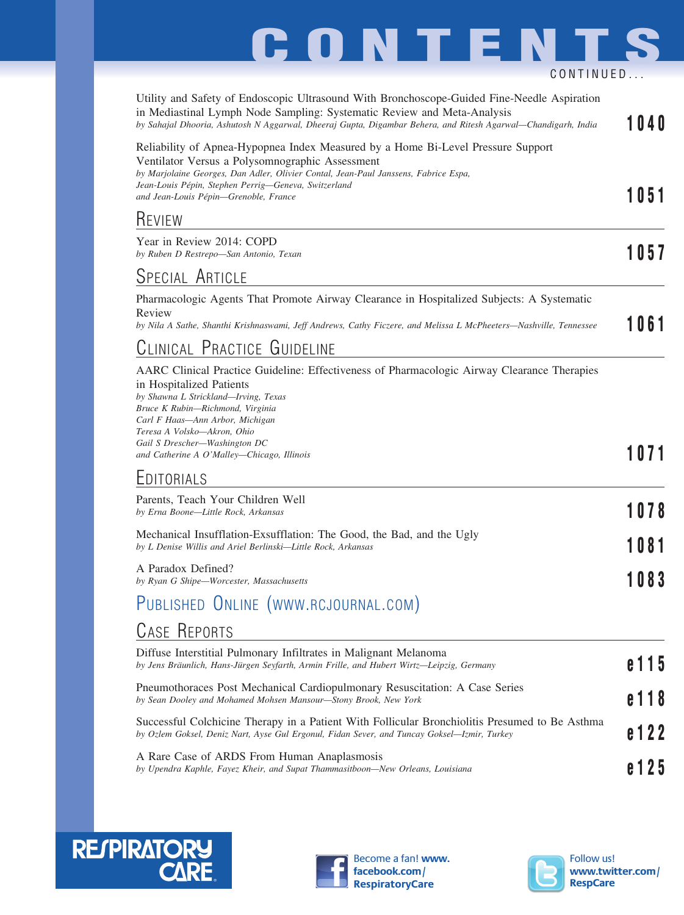### Utility and Safety of Endoscopic Ultrasound With Bronchoscope-Guided Fine-Needle Aspiration in Mediastinal Lymph Node Sampling: Systematic Review and Meta-Analysis *by Sahajal Dhooria, Ashutosh N Aggarwal, Dheeraj Gupta, Digambar Behera, and Ritesh Agarwal—Chandigarh, India* **1040** Reliability of Apnea-Hypopnea Index Measured by a Home Bi-Level Pressure Support Ventilator Versus a Polysomnographic Assessment *by Marjolaine Georges, Dan Adler, Olivier Contal, Jean-Paul Janssens, Fabrice Espa, Jean-Louis Pe´pin, Stephen Perrig—Geneva, Switzerland* and Jean-Louis Pepin, Stephen Terrig—Geneva, Swazerland<br>and Jean-Louis Pépin—Grenoble, France **REVIEW** Year in Review 2014: COPD *by Ruben D Restrepo—San Antonio, Texan* **1057 CONTENTS** CONTINUED...

### SPECIAL ARTICLE

Pharmacologic Agents That Promote Airway Clearance in Hospitalized Subjects: A Systematic Review *by Nila A Sathe, Shanthi Krishnaswami, Jeff Andrews, Cathy Ficzere, and Melissa L McPheeters—Nashville, Tennessee* **1061**

## CLINICAL PRACTICE GUIDELINE

| AARC Clinical Practice Guideline: Effectiveness of Pharmacologic Airway Clearance Therapies<br>in Hospitalized Patients<br>by Shawna L Strickland—Irving, Texas<br>Bruce K Rubin-Richmond, Virginia |      |
|-----------------------------------------------------------------------------------------------------------------------------------------------------------------------------------------------------|------|
| Carl F Haas—Ann Arbor, Michigan<br>Teresa A Volsko—Akron, Ohio<br>Gail S Drescher-Washington DC<br>and Catherine A O'Malley—Chicago, Illinois                                                       | 1071 |
| EDITORIALS                                                                                                                                                                                          |      |
| Parents, Teach Your Children Well<br>by Erna Boone-Little Rock, Arkansas                                                                                                                            | 1078 |
| Mechanical Insufflation-Exsufflation: The Good, the Bad, and the Ugly<br>by L Denise Willis and Ariel Berlinski—Little Rock, Arkansas                                                               | 1081 |
| A Paradox Defined?                                                                                                                                                                                  |      |

A Paradox Defined? *by Ryan G Shipe—Worcester, Massachusetts* **1083**

# PUBLISHED ONLINE (WWW.RCJOURNAL.COM)

### CASE REPORTS

| Diffuse Interstitial Pulmonary Infiltrates in Malignant Melanoma<br>by Jens Bräunlich, Hans-Jürgen Seyfarth, Armin Frille, and Hubert Wirtz-Leipzig, Germany                                  | e 115   |
|-----------------------------------------------------------------------------------------------------------------------------------------------------------------------------------------------|---------|
| Pheumothoraces Post Mechanical Cardiopulmonary Resuscitation: A Case Series<br>by Sean Dooley and Mohamed Mohsen Mansour—Stony Brook, New York                                                | e 1 1 8 |
| Successful Colchicine Therapy in a Patient With Follicular Bronchiolitis Presumed to Be Asthma<br>by Ozlem Goksel, Deniz Nart, Ayse Gul Ergonul, Fidan Sever, and Tuncay Goksel—Izmir, Turkey | e 122   |
| A Rare Case of ARDS From Human Anaplasmosis<br>by Upendra Kaphle, Fayez Kheir, and Supat Thammasitboon—New Orleans, Louisiana                                                                 | e 125   |